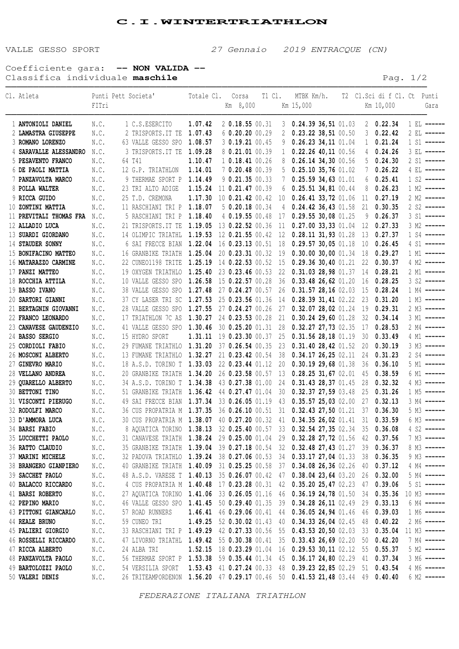## **C.I.WINTERTRIATHLON**

VALLE GESSO SPORT 27 Gennaio 2019 ENTRACQUE (CN)

Coefficiente gara: **-- NON VALIDA --** Classifica individuale **maschile Pag.** 1/2

| 1 C.S.ESERCITO<br>1.07.42<br>2 0.18.55 00.31<br>$3$ 0.24.39 36,51 01.03<br>20.22.34<br>1 ANTONIOLI DANIEL<br>N.C.<br>1 EL ------<br>$0.23.22$ 38,51 00.50<br>1.07.43<br>60.20.20000.29<br>0.22.42<br>N.C.<br>2 TRISPORTS. IT TE<br>2 LAMASTRA GIUSEPPE<br>2<br>3<br>2 EL ------<br>3 0.19.21 00.45<br>$0.26.23$ 34, 11 01.04<br>0.21.24<br>N.C.<br>63 VALLE GESSO SPO 1.08.57<br>$\mathbf{1}$<br>3 ROMANO LORENZO<br>9<br>$1 S1$ ------<br>8 0.21.01 00.39<br>0.24.26<br>3 TRISPORTS. IT TE<br>1.09.28<br>$\mathbf{1}$<br>$0.22.26$ 40,11 00.56<br>4 SARAVALLE ALESSANDRO<br>N.C.<br>4<br>3 EL ------<br>0.24.30<br>1.10.47<br>1 0.18.41 00.26<br>$0.26.14$ 34,30 00.56<br>5<br>5 PESAVENTO FRANCO<br>N.C.<br>64 T41<br>8<br>$2 S1$ ------<br>0.26.22<br>N.C.<br>12 G.P. TRIATHLON<br>1.14.01<br>7 0.20.48 00.39<br>$0.25.10$ 35,76 01.02<br>6 DE PAOLI MATTIA<br>5<br>7<br>4 EL ------<br>9 THERMAE SPORT P<br>1.14.49<br>$9$ 0.21.35 00.33<br>$0.25.59$ 34,63 01.01<br>6<br>0.25.41<br>7 PANZAVOLTA MARCO<br>N.C.<br>7<br>0.26.23<br>23 TRI ALTO ADIGE<br>1.15.24<br>11 0.21.47 00.39<br>$0.25.51$ 34,81 00.44<br>8<br>$1 M2$ ------<br>8 POLLA WALTER<br>N.C.<br>6<br>0.27.19<br>9 RICCA GUIDO<br>25 T.D. CREMONA<br>1.17.30<br>10 0.21.42 00.42<br>$0.26.41$ 33, 72 01.06 11<br>N.C.<br>10<br>0.30.35<br>11 RASCHIANI TRI P<br>1.18.07<br>$5$ 0.20.18 00.34<br>$0.24.42$ 36,43 01.58<br>21<br>10 ZONTINI MATTIA<br>N.C.<br>4<br>0.26.37<br>5 RASCHIANI TRI P<br>1.18.40<br>4 0.19.55 00.48<br>$0.29.55$ 30,08 01.25<br>$3 S1$ ------<br>11 PREVITALI THOMAS FRA N.C.<br>17<br>9<br>0.27.33<br>21 TRISPORTS. IT TE<br>1.19.05<br>13 0.22.52 00.36<br>$0.27.00$ 33,33 01.04 12<br>$3 M2$ ------<br>12 ALLADIO LUCA<br>N.C.<br>11<br>0.27.37<br>N.C.<br>14 OLIMPIC TRIATHL 1.19.53<br>12 0.21.55 00.42<br>$0.28.11$ 31, 93 01.28<br>13<br>$1 S4$ ------<br>13 SUARDI GIORDANO<br>12<br>1.22.04<br>10 0.26.45<br>N.C.<br>6 SAI FRECCE BIAN<br>16 0.23.13 00.51<br>0.29.57 30,05 01.18<br>$4 SI$ ------<br>14 STAUDER SONNY<br>- 18<br>16 GRANBIKE TRIATH 1.25.04<br>0.30.00 30,00 01.34 18 0.29.27<br>20 0.23.31 00.32<br>15 BONIFACINO MATTEO<br>N.C.<br>- 19<br>1 M1 ------<br>1.25.19<br>22 CUNE01198 TRITE<br>14 0.22.53 00.52<br>$0.29.36$ 30,40 01.21<br>22 0.30.37<br>16 MATARAZZO CARMINE<br>N.C.<br>- 15<br>4 M2 ------<br>19 OXYGEN TRIATHLO 1.25.40<br>17 PANZI MATTEO<br>23 0.23.46 00.53<br>22<br>0.31.03 28,98 01.37 14 0.28.21<br>N.C.<br>2 M1 ------<br>10 VALLE GESSO SPO 1.26.58 15 0.22.57 00.28<br>36 0.33.48 26,62 01.20<br>16 0.28.25<br>18 ROCCHIA ATTILA<br>N.C.<br>$3 S2$ ------<br>26 0.31.57 28,16 02.03 15 0.28.24<br>38 VALLE GESSO SPO 1.27.48 27 0.24.27 00.57<br>19 BASSO IVANO<br>N.C.<br>$1 M4$ ------<br>37 CY LASER TRI SC 1.27.53 25 0.23.56 01.36<br>0.28.3931,4102.22<br>23 0.31.20<br>$1 M3$ ------<br>20 SARTORI GIANNI<br>N.C.<br>14<br>19 0.29.31<br>28 VALLE GESSO SPO 1.27.55<br>27 0.24.27 00.26<br>27<br>0.32.0728,0201.24<br>2 M3 ------<br>21 BERTAGNIN GIOVANNI<br>N.C.<br>32 0.34.14<br>17 TRIATHLON 7C AS<br>1.30.27<br>24 0.23.53 00.28<br>$0.30.24$ 29,60 01.28<br>22 FRANCO LEONARDO<br>N.C.<br>21<br>3 M1 ------<br>0.28.53<br>41 VALLE GESSO SPO 1.30.46<br>30 0.25.20 01.31<br>28<br>$0.32.27$ 27,73 02.35 17<br>23 CANAVESE GAUDENZIO<br>N.C.<br>2 M4 ------<br>0.33.49<br>15 HYDRO SPORT<br>1.31.11 19 0.23.30 00.37<br>25<br>0.31.5628,1801.19<br>30<br>24 BASSO SERGIO<br>N.C.<br>4 M1 ------<br>29 FUMANE TRIATHLO 1.31.20 37 0.26.54 00.35<br>23<br>0.31.4028,4201.52<br>20 0.30.19<br>$3 M3$ ------<br>25 CORDIOLI FABIO<br>N.C.<br>N.C.<br>13 FUMANE TRIATHLO 1.32.27<br>21 0.23.42 00.54<br>38<br>0.34.1726,2502.11<br>24 0.31.23<br>26 MOSCONI ALBERTO<br>$2 S4$ ------<br>18 A.S.D. TORINO T 1.33.03<br>22 0.23.44 01.12<br>20<br>$0.30.19$ 29,68 01.38<br>36 0.36.10<br>27 GINEVRO MARIO<br>N.C.<br>$5 M1$ ------<br>0.28.25 31,67 02.01 45 0.38.59<br>28 VELLANO ANDREA<br>N.C.<br>20 GRANBIKE TRIATH 1.34.20<br>26 0.23.58 00.57<br>6 M1 ------<br>- 13<br>N.C.<br>34 A.S.D. TORINO T 1.34.38<br>43 0.27.38 01.00<br>0.31.43 28,37 01.45 28 0.32.32<br>29 QUARELLO ALBERTO<br>24<br>30 BETTONI TINO<br>N.C.<br>51 GRANBIKE TRIATH 1.36.42<br>44 0.27.47 01.04<br>0.32.37 27,59 03.48 25 0.31.26<br>30<br>$1 M5$ ------<br>49 SAI FRECCE BIAN 1.37.34 33 0.26.05 01.19<br>43 0.35.57 25,03 02.00 27 0.32.13<br>31 VISCONTI PIERUGO<br>N.C.<br>$3 M4$ ------<br>36 CUS PROPATRIA M 1.37.35<br>36 0.26.10 00.51 31 0.32.43 27,50 01.21 37 0.36.30<br>32 RODOLFI MARCO<br>N.C.<br>$5 M3$ ------<br>40 0.27.20 00.32 41 0.34.35 26,02 01.41 31 0.33.59<br>33 D'AMMORA LUCA<br>N.C.<br>30 CUS PROPATRIA M 1.38.07<br>6 M3 ------<br>8 AQUATICA TORINO 1.38.13 32 0.25.40 00.57 33 0.32.54 27,35 02.34 35 0.36.08 4 S2 -----<br>34 BARSI FABIO<br>$\mathbb{N}\,.\mathbb{C}$ .<br>31 CANAVESE TRIATH 1.38.24 29 0.25.00 01.04 29 0.32.28 27,72 01.56 42 0.37.56 7 M3 -----<br>35 LUCCHETTI PAOLO<br>N.C.<br>35 GRANBIKE TRIATH 1.39.04 39 0.27.18 00.54 32 0.32.48 27,43 01.27 39 0.36.37 8 M3 -----<br>36 RATTO CLAUDIO<br>N.C.<br>32 PADOVA TRIATHLO 1.39.24 38 0.27.06 00.53 34 0.33.17 27,04 01.33 38 0.36.35 9 M3 -----<br>N.C.<br>37 MARINI MICHELE<br>40 GRANBIKE TRIATH 1.40.09 31 0.25.25 00.58 37 0.34.08 26,36 02.26 40 0.37.12 4 M4 -----<br>38 BRANGERO GIANPIERO<br>N.C.<br>48 A.S.D. VARESE T 1.40.13 35 0.26.07 00.42 47 0.38.04 23,64 03.20 26 0.32.00 5 M4 -----<br>39 SACCHET PAOLO<br>N.C.<br>4 CUS PROPATRIA M 1.40.48 17 0.23.28 00.31 42 0.35.20 25,47 02.23 47 0.39.06 5 S1 -----<br>N.C.<br>40 BALACCO RICCARDO<br>27 AQUATICA TORINO 1.41.06 33 0.26.05 01.16 46 0.36.19 24,78 01.50 34 0.35.36 10 M3 -----<br>41 BARSI ROBERTO<br>N.C.<br>46 VALLE GESSO SPO 1.41.45 50 0.29.40 01.35 39 0.34.28 26,11 02.49 29 0.33.13 6 M4 -----<br>42 PEPINO MARIO<br>N.C.<br>1.46.41 46 0.29.06 00.41 44 0.36.05 24,94 01.46 46 0.39.03 1 M6 -----<br>43 PITTONI GIANCARLO<br>N.C.<br>57 ROAD RUNNERS<br>44 REALE BRUNO<br>1.49.25 52 0.30.02 01.43 40 0.34.33 26,04 02.45 48 0.40.22<br>N.C.<br>59 CUNEO TRI<br>33 RASCHIANI TRI P 1.49.29 42 0.27.33 00.56 55 0.43.53 20,50 02.03 33 0.35.04 11 M3 -----<br>N.C.<br>45 PALIERI GIORGIO<br>47 LIVORNO TRIATHL 1.49.42 55 0.30.38 00.41 35 0.33.43 26,69 02.20 50 0.42.20 7 M4 -----<br>46 ROSSELLI RICCARDO<br>N.C.<br>1.52.15 18 0.23.29 01.04 16 0.29.53 30,11 02.12 55 0.55.37 5 M2 -----<br>47 RICCA ALBERTO<br>N.C.<br>24 ALBA TRI<br>56 THERMAE SPORT P 1.53.38 59 0.35.44 01.34 45 0.36.17 24,80 02.29 41 0.37.34 3 M6 -----<br>48 PANZAVOLTA PAOLO<br>N.C.<br>54 VERSILIA SPORT 1.53.43 41 0.27.24 00.33 48 0.39.23 22,85 02.29 51 0.43.54<br>49 BARTOLOZZI PAOLO<br>N.C.<br>50 VALERI DENIS<br>26 TRITEAMPORDENON 1.56.20 47 0.29.17 00.46 50 0.41.53 21,48 03.44 49 0.40.40 | Cl. Atleta | FITri | Punti Pett Societa' | Totale Cl. | Corsa<br>Km 8,000 |  | T1 C1. MTBK Km/h.<br>Km 15,000 |  | Km 10,000 | T2 Cl.Sci di f Cl. Ct Punti<br>Gara |
|-----------------------------------------------------------------------------------------------------------------------------------------------------------------------------------------------------------------------------------------------------------------------------------------------------------------------------------------------------------------------------------------------------------------------------------------------------------------------------------------------------------------------------------------------------------------------------------------------------------------------------------------------------------------------------------------------------------------------------------------------------------------------------------------------------------------------------------------------------------------------------------------------------------------------------------------------------------------------------------------------------------------------------------------------------------------------------------------------------------------------------------------------------------------------------------------------------------------------------------------------------------------------------------------------------------------------------------------------------------------------------------------------------------------------------------------------------------------------------------------------------------------------------------------------------------------------------------------------------------------------------------------------------------------------------------------------------------------------------------------------------------------------------------------------------------------------------------------------------------------------------------------------------------------------------------------------------------------------------------------------------------------------------------------------------------------------------------------------------------------------------------------------------------------------------------------------------------------------------------------------------------------------------------------------------------------------------------------------------------------------------------------------------------------------------------------------------------------------------------------------------------------------------------------------------------------------------------------------------------------------------------------------------------------------------------------------------------------------------------------------------------------------------------------------------------------------------------------------------------------------------------------------------------------------------------------------------------------------------------------------------------------------------------------------------------------------------------------------------------------------------------------------------------------------------------------------------------------------------------------------------------------------------------------------------------------------------------------------------------------------------------------------------------------------------------------------------------------------------------------------------------------------------------------------------------------------------------------------------------------------------------------------------------------------------------------------------------------------------------------------------------------------------------------------------------------------------------------------------------------------------------------------------------------------------------------------------------------------------------------------------------------------------------------------------------------------------------------------------------------------------------------------------------------------------------------------------------------------------------------------------------------------------------------------------------------------------------------------------------------------------------------------------------------------------------------------------------------------------------------------------------------------------------------------------------------------------------------------------------------------------------------------------------------------------------------------------------------------------------------------------------------------------------------------------------------------------------------------------------------------------------------------------------------------------------------------------------------------------------------------------------------------------------------------------------------------------------------------------------------------------------------------------------------------------------------------------------------------------------------------------------------------------------------------------------------------------------------------------------------------------------------------------------------------------------------------------------------------------------------------------------------------------------------------------------------------------------------------------------------------------------------------------------------------------------------------------------------------------------------------------------------------------------------------------------------------------------------------------------------------------------------------------------------------------------------------------------------------------------------------------------------------------------------------------------------------------------------------------------------------------------------------------------------------------------------------------------------------------------------------------------------------------------------------------------------------------------------------------------------------------------------------------------------------------------------------------------------------------------------------------------------------------------------------------------------------------------------------------------------------------------------------------------------------------------------------------------------------------------------------------------------------------------------------------------------------|------------|-------|---------------------|------------|-------------------|--|--------------------------------|--|-----------|-------------------------------------|
|                                                                                                                                                                                                                                                                                                                                                                                                                                                                                                                                                                                                                                                                                                                                                                                                                                                                                                                                                                                                                                                                                                                                                                                                                                                                                                                                                                                                                                                                                                                                                                                                                                                                                                                                                                                                                                                                                                                                                                                                                                                                                                                                                                                                                                                                                                                                                                                                                                                                                                                                                                                                                                                                                                                                                                                                                                                                                                                                                                                                                                                                                                                                                                                                                                                                                                                                                                                                                                                                                                                                                                                                                                                                                                                                                                                                                                                                                                                                                                                                                                                                                                                                                                                                                                                                                                                                                                                                                                                                                                                                                                                                                                                                                                                                                                                                                                                                                                                                                                                                                                                                                                                                                                                                                                                                                                                                                                                                                                                                                                                                                                                                                                                                                                                                                                                                                                                                                                                                                                                                                                                                                                                                                                                                                                                                                                                                                                                                                                                                                                                                                                                                                                                                                                                                                                                                                       |            |       |                     |            |                   |  |                                |  |           |                                     |
| $1 S2$ ------<br>2 M2 ------<br>$2 S2$ ------<br>4 M3 ------<br>2 M6 ------<br>4 M6 ------                                                                                                                                                                                                                                                                                                                                                                                                                                                                                                                                                                                                                                                                                                                                                                                                                                                                                                                                                                                                                                                                                                                                                                                                                                                                                                                                                                                                                                                                                                                                                                                                                                                                                                                                                                                                                                                                                                                                                                                                                                                                                                                                                                                                                                                                                                                                                                                                                                                                                                                                                                                                                                                                                                                                                                                                                                                                                                                                                                                                                                                                                                                                                                                                                                                                                                                                                                                                                                                                                                                                                                                                                                                                                                                                                                                                                                                                                                                                                                                                                                                                                                                                                                                                                                                                                                                                                                                                                                                                                                                                                                                                                                                                                                                                                                                                                                                                                                                                                                                                                                                                                                                                                                                                                                                                                                                                                                                                                                                                                                                                                                                                                                                                                                                                                                                                                                                                                                                                                                                                                                                                                                                                                                                                                                                                                                                                                                                                                                                                                                                                                                                                                                                                                                                            |            |       |                     |            |                   |  |                                |  |           |                                     |
|                                                                                                                                                                                                                                                                                                                                                                                                                                                                                                                                                                                                                                                                                                                                                                                                                                                                                                                                                                                                                                                                                                                                                                                                                                                                                                                                                                                                                                                                                                                                                                                                                                                                                                                                                                                                                                                                                                                                                                                                                                                                                                                                                                                                                                                                                                                                                                                                                                                                                                                                                                                                                                                                                                                                                                                                                                                                                                                                                                                                                                                                                                                                                                                                                                                                                                                                                                                                                                                                                                                                                                                                                                                                                                                                                                                                                                                                                                                                                                                                                                                                                                                                                                                                                                                                                                                                                                                                                                                                                                                                                                                                                                                                                                                                                                                                                                                                                                                                                                                                                                                                                                                                                                                                                                                                                                                                                                                                                                                                                                                                                                                                                                                                                                                                                                                                                                                                                                                                                                                                                                                                                                                                                                                                                                                                                                                                                                                                                                                                                                                                                                                                                                                                                                                                                                                                                       |            |       |                     |            |                   |  |                                |  |           |                                     |
|                                                                                                                                                                                                                                                                                                                                                                                                                                                                                                                                                                                                                                                                                                                                                                                                                                                                                                                                                                                                                                                                                                                                                                                                                                                                                                                                                                                                                                                                                                                                                                                                                                                                                                                                                                                                                                                                                                                                                                                                                                                                                                                                                                                                                                                                                                                                                                                                                                                                                                                                                                                                                                                                                                                                                                                                                                                                                                                                                                                                                                                                                                                                                                                                                                                                                                                                                                                                                                                                                                                                                                                                                                                                                                                                                                                                                                                                                                                                                                                                                                                                                                                                                                                                                                                                                                                                                                                                                                                                                                                                                                                                                                                                                                                                                                                                                                                                                                                                                                                                                                                                                                                                                                                                                                                                                                                                                                                                                                                                                                                                                                                                                                                                                                                                                                                                                                                                                                                                                                                                                                                                                                                                                                                                                                                                                                                                                                                                                                                                                                                                                                                                                                                                                                                                                                                                                       |            |       |                     |            |                   |  |                                |  |           |                                     |
|                                                                                                                                                                                                                                                                                                                                                                                                                                                                                                                                                                                                                                                                                                                                                                                                                                                                                                                                                                                                                                                                                                                                                                                                                                                                                                                                                                                                                                                                                                                                                                                                                                                                                                                                                                                                                                                                                                                                                                                                                                                                                                                                                                                                                                                                                                                                                                                                                                                                                                                                                                                                                                                                                                                                                                                                                                                                                                                                                                                                                                                                                                                                                                                                                                                                                                                                                                                                                                                                                                                                                                                                                                                                                                                                                                                                                                                                                                                                                                                                                                                                                                                                                                                                                                                                                                                                                                                                                                                                                                                                                                                                                                                                                                                                                                                                                                                                                                                                                                                                                                                                                                                                                                                                                                                                                                                                                                                                                                                                                                                                                                                                                                                                                                                                                                                                                                                                                                                                                                                                                                                                                                                                                                                                                                                                                                                                                                                                                                                                                                                                                                                                                                                                                                                                                                                                                       |            |       |                     |            |                   |  |                                |  |           |                                     |
|                                                                                                                                                                                                                                                                                                                                                                                                                                                                                                                                                                                                                                                                                                                                                                                                                                                                                                                                                                                                                                                                                                                                                                                                                                                                                                                                                                                                                                                                                                                                                                                                                                                                                                                                                                                                                                                                                                                                                                                                                                                                                                                                                                                                                                                                                                                                                                                                                                                                                                                                                                                                                                                                                                                                                                                                                                                                                                                                                                                                                                                                                                                                                                                                                                                                                                                                                                                                                                                                                                                                                                                                                                                                                                                                                                                                                                                                                                                                                                                                                                                                                                                                                                                                                                                                                                                                                                                                                                                                                                                                                                                                                                                                                                                                                                                                                                                                                                                                                                                                                                                                                                                                                                                                                                                                                                                                                                                                                                                                                                                                                                                                                                                                                                                                                                                                                                                                                                                                                                                                                                                                                                                                                                                                                                                                                                                                                                                                                                                                                                                                                                                                                                                                                                                                                                                                                       |            |       |                     |            |                   |  |                                |  |           |                                     |
|                                                                                                                                                                                                                                                                                                                                                                                                                                                                                                                                                                                                                                                                                                                                                                                                                                                                                                                                                                                                                                                                                                                                                                                                                                                                                                                                                                                                                                                                                                                                                                                                                                                                                                                                                                                                                                                                                                                                                                                                                                                                                                                                                                                                                                                                                                                                                                                                                                                                                                                                                                                                                                                                                                                                                                                                                                                                                                                                                                                                                                                                                                                                                                                                                                                                                                                                                                                                                                                                                                                                                                                                                                                                                                                                                                                                                                                                                                                                                                                                                                                                                                                                                                                                                                                                                                                                                                                                                                                                                                                                                                                                                                                                                                                                                                                                                                                                                                                                                                                                                                                                                                                                                                                                                                                                                                                                                                                                                                                                                                                                                                                                                                                                                                                                                                                                                                                                                                                                                                                                                                                                                                                                                                                                                                                                                                                                                                                                                                                                                                                                                                                                                                                                                                                                                                                                                       |            |       |                     |            |                   |  |                                |  |           |                                     |
|                                                                                                                                                                                                                                                                                                                                                                                                                                                                                                                                                                                                                                                                                                                                                                                                                                                                                                                                                                                                                                                                                                                                                                                                                                                                                                                                                                                                                                                                                                                                                                                                                                                                                                                                                                                                                                                                                                                                                                                                                                                                                                                                                                                                                                                                                                                                                                                                                                                                                                                                                                                                                                                                                                                                                                                                                                                                                                                                                                                                                                                                                                                                                                                                                                                                                                                                                                                                                                                                                                                                                                                                                                                                                                                                                                                                                                                                                                                                                                                                                                                                                                                                                                                                                                                                                                                                                                                                                                                                                                                                                                                                                                                                                                                                                                                                                                                                                                                                                                                                                                                                                                                                                                                                                                                                                                                                                                                                                                                                                                                                                                                                                                                                                                                                                                                                                                                                                                                                                                                                                                                                                                                                                                                                                                                                                                                                                                                                                                                                                                                                                                                                                                                                                                                                                                                                                       |            |       |                     |            |                   |  |                                |  |           |                                     |
|                                                                                                                                                                                                                                                                                                                                                                                                                                                                                                                                                                                                                                                                                                                                                                                                                                                                                                                                                                                                                                                                                                                                                                                                                                                                                                                                                                                                                                                                                                                                                                                                                                                                                                                                                                                                                                                                                                                                                                                                                                                                                                                                                                                                                                                                                                                                                                                                                                                                                                                                                                                                                                                                                                                                                                                                                                                                                                                                                                                                                                                                                                                                                                                                                                                                                                                                                                                                                                                                                                                                                                                                                                                                                                                                                                                                                                                                                                                                                                                                                                                                                                                                                                                                                                                                                                                                                                                                                                                                                                                                                                                                                                                                                                                                                                                                                                                                                                                                                                                                                                                                                                                                                                                                                                                                                                                                                                                                                                                                                                                                                                                                                                                                                                                                                                                                                                                                                                                                                                                                                                                                                                                                                                                                                                                                                                                                                                                                                                                                                                                                                                                                                                                                                                                                                                                                                       |            |       |                     |            |                   |  |                                |  |           |                                     |
|                                                                                                                                                                                                                                                                                                                                                                                                                                                                                                                                                                                                                                                                                                                                                                                                                                                                                                                                                                                                                                                                                                                                                                                                                                                                                                                                                                                                                                                                                                                                                                                                                                                                                                                                                                                                                                                                                                                                                                                                                                                                                                                                                                                                                                                                                                                                                                                                                                                                                                                                                                                                                                                                                                                                                                                                                                                                                                                                                                                                                                                                                                                                                                                                                                                                                                                                                                                                                                                                                                                                                                                                                                                                                                                                                                                                                                                                                                                                                                                                                                                                                                                                                                                                                                                                                                                                                                                                                                                                                                                                                                                                                                                                                                                                                                                                                                                                                                                                                                                                                                                                                                                                                                                                                                                                                                                                                                                                                                                                                                                                                                                                                                                                                                                                                                                                                                                                                                                                                                                                                                                                                                                                                                                                                                                                                                                                                                                                                                                                                                                                                                                                                                                                                                                                                                                                                       |            |       |                     |            |                   |  |                                |  |           |                                     |
|                                                                                                                                                                                                                                                                                                                                                                                                                                                                                                                                                                                                                                                                                                                                                                                                                                                                                                                                                                                                                                                                                                                                                                                                                                                                                                                                                                                                                                                                                                                                                                                                                                                                                                                                                                                                                                                                                                                                                                                                                                                                                                                                                                                                                                                                                                                                                                                                                                                                                                                                                                                                                                                                                                                                                                                                                                                                                                                                                                                                                                                                                                                                                                                                                                                                                                                                                                                                                                                                                                                                                                                                                                                                                                                                                                                                                                                                                                                                                                                                                                                                                                                                                                                                                                                                                                                                                                                                                                                                                                                                                                                                                                                                                                                                                                                                                                                                                                                                                                                                                                                                                                                                                                                                                                                                                                                                                                                                                                                                                                                                                                                                                                                                                                                                                                                                                                                                                                                                                                                                                                                                                                                                                                                                                                                                                                                                                                                                                                                                                                                                                                                                                                                                                                                                                                                                                       |            |       |                     |            |                   |  |                                |  |           |                                     |
|                                                                                                                                                                                                                                                                                                                                                                                                                                                                                                                                                                                                                                                                                                                                                                                                                                                                                                                                                                                                                                                                                                                                                                                                                                                                                                                                                                                                                                                                                                                                                                                                                                                                                                                                                                                                                                                                                                                                                                                                                                                                                                                                                                                                                                                                                                                                                                                                                                                                                                                                                                                                                                                                                                                                                                                                                                                                                                                                                                                                                                                                                                                                                                                                                                                                                                                                                                                                                                                                                                                                                                                                                                                                                                                                                                                                                                                                                                                                                                                                                                                                                                                                                                                                                                                                                                                                                                                                                                                                                                                                                                                                                                                                                                                                                                                                                                                                                                                                                                                                                                                                                                                                                                                                                                                                                                                                                                                                                                                                                                                                                                                                                                                                                                                                                                                                                                                                                                                                                                                                                                                                                                                                                                                                                                                                                                                                                                                                                                                                                                                                                                                                                                                                                                                                                                                                                       |            |       |                     |            |                   |  |                                |  |           |                                     |
|                                                                                                                                                                                                                                                                                                                                                                                                                                                                                                                                                                                                                                                                                                                                                                                                                                                                                                                                                                                                                                                                                                                                                                                                                                                                                                                                                                                                                                                                                                                                                                                                                                                                                                                                                                                                                                                                                                                                                                                                                                                                                                                                                                                                                                                                                                                                                                                                                                                                                                                                                                                                                                                                                                                                                                                                                                                                                                                                                                                                                                                                                                                                                                                                                                                                                                                                                                                                                                                                                                                                                                                                                                                                                                                                                                                                                                                                                                                                                                                                                                                                                                                                                                                                                                                                                                                                                                                                                                                                                                                                                                                                                                                                                                                                                                                                                                                                                                                                                                                                                                                                                                                                                                                                                                                                                                                                                                                                                                                                                                                                                                                                                                                                                                                                                                                                                                                                                                                                                                                                                                                                                                                                                                                                                                                                                                                                                                                                                                                                                                                                                                                                                                                                                                                                                                                                                       |            |       |                     |            |                   |  |                                |  |           |                                     |
|                                                                                                                                                                                                                                                                                                                                                                                                                                                                                                                                                                                                                                                                                                                                                                                                                                                                                                                                                                                                                                                                                                                                                                                                                                                                                                                                                                                                                                                                                                                                                                                                                                                                                                                                                                                                                                                                                                                                                                                                                                                                                                                                                                                                                                                                                                                                                                                                                                                                                                                                                                                                                                                                                                                                                                                                                                                                                                                                                                                                                                                                                                                                                                                                                                                                                                                                                                                                                                                                                                                                                                                                                                                                                                                                                                                                                                                                                                                                                                                                                                                                                                                                                                                                                                                                                                                                                                                                                                                                                                                                                                                                                                                                                                                                                                                                                                                                                                                                                                                                                                                                                                                                                                                                                                                                                                                                                                                                                                                                                                                                                                                                                                                                                                                                                                                                                                                                                                                                                                                                                                                                                                                                                                                                                                                                                                                                                                                                                                                                                                                                                                                                                                                                                                                                                                                                                       |            |       |                     |            |                   |  |                                |  |           |                                     |
|                                                                                                                                                                                                                                                                                                                                                                                                                                                                                                                                                                                                                                                                                                                                                                                                                                                                                                                                                                                                                                                                                                                                                                                                                                                                                                                                                                                                                                                                                                                                                                                                                                                                                                                                                                                                                                                                                                                                                                                                                                                                                                                                                                                                                                                                                                                                                                                                                                                                                                                                                                                                                                                                                                                                                                                                                                                                                                                                                                                                                                                                                                                                                                                                                                                                                                                                                                                                                                                                                                                                                                                                                                                                                                                                                                                                                                                                                                                                                                                                                                                                                                                                                                                                                                                                                                                                                                                                                                                                                                                                                                                                                                                                                                                                                                                                                                                                                                                                                                                                                                                                                                                                                                                                                                                                                                                                                                                                                                                                                                                                                                                                                                                                                                                                                                                                                                                                                                                                                                                                                                                                                                                                                                                                                                                                                                                                                                                                                                                                                                                                                                                                                                                                                                                                                                                                                       |            |       |                     |            |                   |  |                                |  |           |                                     |
|                                                                                                                                                                                                                                                                                                                                                                                                                                                                                                                                                                                                                                                                                                                                                                                                                                                                                                                                                                                                                                                                                                                                                                                                                                                                                                                                                                                                                                                                                                                                                                                                                                                                                                                                                                                                                                                                                                                                                                                                                                                                                                                                                                                                                                                                                                                                                                                                                                                                                                                                                                                                                                                                                                                                                                                                                                                                                                                                                                                                                                                                                                                                                                                                                                                                                                                                                                                                                                                                                                                                                                                                                                                                                                                                                                                                                                                                                                                                                                                                                                                                                                                                                                                                                                                                                                                                                                                                                                                                                                                                                                                                                                                                                                                                                                                                                                                                                                                                                                                                                                                                                                                                                                                                                                                                                                                                                                                                                                                                                                                                                                                                                                                                                                                                                                                                                                                                                                                                                                                                                                                                                                                                                                                                                                                                                                                                                                                                                                                                                                                                                                                                                                                                                                                                                                                                                       |            |       |                     |            |                   |  |                                |  |           |                                     |
|                                                                                                                                                                                                                                                                                                                                                                                                                                                                                                                                                                                                                                                                                                                                                                                                                                                                                                                                                                                                                                                                                                                                                                                                                                                                                                                                                                                                                                                                                                                                                                                                                                                                                                                                                                                                                                                                                                                                                                                                                                                                                                                                                                                                                                                                                                                                                                                                                                                                                                                                                                                                                                                                                                                                                                                                                                                                                                                                                                                                                                                                                                                                                                                                                                                                                                                                                                                                                                                                                                                                                                                                                                                                                                                                                                                                                                                                                                                                                                                                                                                                                                                                                                                                                                                                                                                                                                                                                                                                                                                                                                                                                                                                                                                                                                                                                                                                                                                                                                                                                                                                                                                                                                                                                                                                                                                                                                                                                                                                                                                                                                                                                                                                                                                                                                                                                                                                                                                                                                                                                                                                                                                                                                                                                                                                                                                                                                                                                                                                                                                                                                                                                                                                                                                                                                                                                       |            |       |                     |            |                   |  |                                |  |           |                                     |
|                                                                                                                                                                                                                                                                                                                                                                                                                                                                                                                                                                                                                                                                                                                                                                                                                                                                                                                                                                                                                                                                                                                                                                                                                                                                                                                                                                                                                                                                                                                                                                                                                                                                                                                                                                                                                                                                                                                                                                                                                                                                                                                                                                                                                                                                                                                                                                                                                                                                                                                                                                                                                                                                                                                                                                                                                                                                                                                                                                                                                                                                                                                                                                                                                                                                                                                                                                                                                                                                                                                                                                                                                                                                                                                                                                                                                                                                                                                                                                                                                                                                                                                                                                                                                                                                                                                                                                                                                                                                                                                                                                                                                                                                                                                                                                                                                                                                                                                                                                                                                                                                                                                                                                                                                                                                                                                                                                                                                                                                                                                                                                                                                                                                                                                                                                                                                                                                                                                                                                                                                                                                                                                                                                                                                                                                                                                                                                                                                                                                                                                                                                                                                                                                                                                                                                                                                       |            |       |                     |            |                   |  |                                |  |           |                                     |
|                                                                                                                                                                                                                                                                                                                                                                                                                                                                                                                                                                                                                                                                                                                                                                                                                                                                                                                                                                                                                                                                                                                                                                                                                                                                                                                                                                                                                                                                                                                                                                                                                                                                                                                                                                                                                                                                                                                                                                                                                                                                                                                                                                                                                                                                                                                                                                                                                                                                                                                                                                                                                                                                                                                                                                                                                                                                                                                                                                                                                                                                                                                                                                                                                                                                                                                                                                                                                                                                                                                                                                                                                                                                                                                                                                                                                                                                                                                                                                                                                                                                                                                                                                                                                                                                                                                                                                                                                                                                                                                                                                                                                                                                                                                                                                                                                                                                                                                                                                                                                                                                                                                                                                                                                                                                                                                                                                                                                                                                                                                                                                                                                                                                                                                                                                                                                                                                                                                                                                                                                                                                                                                                                                                                                                                                                                                                                                                                                                                                                                                                                                                                                                                                                                                                                                                                                       |            |       |                     |            |                   |  |                                |  |           |                                     |
|                                                                                                                                                                                                                                                                                                                                                                                                                                                                                                                                                                                                                                                                                                                                                                                                                                                                                                                                                                                                                                                                                                                                                                                                                                                                                                                                                                                                                                                                                                                                                                                                                                                                                                                                                                                                                                                                                                                                                                                                                                                                                                                                                                                                                                                                                                                                                                                                                                                                                                                                                                                                                                                                                                                                                                                                                                                                                                                                                                                                                                                                                                                                                                                                                                                                                                                                                                                                                                                                                                                                                                                                                                                                                                                                                                                                                                                                                                                                                                                                                                                                                                                                                                                                                                                                                                                                                                                                                                                                                                                                                                                                                                                                                                                                                                                                                                                                                                                                                                                                                                                                                                                                                                                                                                                                                                                                                                                                                                                                                                                                                                                                                                                                                                                                                                                                                                                                                                                                                                                                                                                                                                                                                                                                                                                                                                                                                                                                                                                                                                                                                                                                                                                                                                                                                                                                                       |            |       |                     |            |                   |  |                                |  |           |                                     |
|                                                                                                                                                                                                                                                                                                                                                                                                                                                                                                                                                                                                                                                                                                                                                                                                                                                                                                                                                                                                                                                                                                                                                                                                                                                                                                                                                                                                                                                                                                                                                                                                                                                                                                                                                                                                                                                                                                                                                                                                                                                                                                                                                                                                                                                                                                                                                                                                                                                                                                                                                                                                                                                                                                                                                                                                                                                                                                                                                                                                                                                                                                                                                                                                                                                                                                                                                                                                                                                                                                                                                                                                                                                                                                                                                                                                                                                                                                                                                                                                                                                                                                                                                                                                                                                                                                                                                                                                                                                                                                                                                                                                                                                                                                                                                                                                                                                                                                                                                                                                                                                                                                                                                                                                                                                                                                                                                                                                                                                                                                                                                                                                                                                                                                                                                                                                                                                                                                                                                                                                                                                                                                                                                                                                                                                                                                                                                                                                                                                                                                                                                                                                                                                                                                                                                                                                                       |            |       |                     |            |                   |  |                                |  |           |                                     |
|                                                                                                                                                                                                                                                                                                                                                                                                                                                                                                                                                                                                                                                                                                                                                                                                                                                                                                                                                                                                                                                                                                                                                                                                                                                                                                                                                                                                                                                                                                                                                                                                                                                                                                                                                                                                                                                                                                                                                                                                                                                                                                                                                                                                                                                                                                                                                                                                                                                                                                                                                                                                                                                                                                                                                                                                                                                                                                                                                                                                                                                                                                                                                                                                                                                                                                                                                                                                                                                                                                                                                                                                                                                                                                                                                                                                                                                                                                                                                                                                                                                                                                                                                                                                                                                                                                                                                                                                                                                                                                                                                                                                                                                                                                                                                                                                                                                                                                                                                                                                                                                                                                                                                                                                                                                                                                                                                                                                                                                                                                                                                                                                                                                                                                                                                                                                                                                                                                                                                                                                                                                                                                                                                                                                                                                                                                                                                                                                                                                                                                                                                                                                                                                                                                                                                                                                                       |            |       |                     |            |                   |  |                                |  |           |                                     |
|                                                                                                                                                                                                                                                                                                                                                                                                                                                                                                                                                                                                                                                                                                                                                                                                                                                                                                                                                                                                                                                                                                                                                                                                                                                                                                                                                                                                                                                                                                                                                                                                                                                                                                                                                                                                                                                                                                                                                                                                                                                                                                                                                                                                                                                                                                                                                                                                                                                                                                                                                                                                                                                                                                                                                                                                                                                                                                                                                                                                                                                                                                                                                                                                                                                                                                                                                                                                                                                                                                                                                                                                                                                                                                                                                                                                                                                                                                                                                                                                                                                                                                                                                                                                                                                                                                                                                                                                                                                                                                                                                                                                                                                                                                                                                                                                                                                                                                                                                                                                                                                                                                                                                                                                                                                                                                                                                                                                                                                                                                                                                                                                                                                                                                                                                                                                                                                                                                                                                                                                                                                                                                                                                                                                                                                                                                                                                                                                                                                                                                                                                                                                                                                                                                                                                                                                                       |            |       |                     |            |                   |  |                                |  |           |                                     |
|                                                                                                                                                                                                                                                                                                                                                                                                                                                                                                                                                                                                                                                                                                                                                                                                                                                                                                                                                                                                                                                                                                                                                                                                                                                                                                                                                                                                                                                                                                                                                                                                                                                                                                                                                                                                                                                                                                                                                                                                                                                                                                                                                                                                                                                                                                                                                                                                                                                                                                                                                                                                                                                                                                                                                                                                                                                                                                                                                                                                                                                                                                                                                                                                                                                                                                                                                                                                                                                                                                                                                                                                                                                                                                                                                                                                                                                                                                                                                                                                                                                                                                                                                                                                                                                                                                                                                                                                                                                                                                                                                                                                                                                                                                                                                                                                                                                                                                                                                                                                                                                                                                                                                                                                                                                                                                                                                                                                                                                                                                                                                                                                                                                                                                                                                                                                                                                                                                                                                                                                                                                                                                                                                                                                                                                                                                                                                                                                                                                                                                                                                                                                                                                                                                                                                                                                                       |            |       |                     |            |                   |  |                                |  |           |                                     |
|                                                                                                                                                                                                                                                                                                                                                                                                                                                                                                                                                                                                                                                                                                                                                                                                                                                                                                                                                                                                                                                                                                                                                                                                                                                                                                                                                                                                                                                                                                                                                                                                                                                                                                                                                                                                                                                                                                                                                                                                                                                                                                                                                                                                                                                                                                                                                                                                                                                                                                                                                                                                                                                                                                                                                                                                                                                                                                                                                                                                                                                                                                                                                                                                                                                                                                                                                                                                                                                                                                                                                                                                                                                                                                                                                                                                                                                                                                                                                                                                                                                                                                                                                                                                                                                                                                                                                                                                                                                                                                                                                                                                                                                                                                                                                                                                                                                                                                                                                                                                                                                                                                                                                                                                                                                                                                                                                                                                                                                                                                                                                                                                                                                                                                                                                                                                                                                                                                                                                                                                                                                                                                                                                                                                                                                                                                                                                                                                                                                                                                                                                                                                                                                                                                                                                                                                                       |            |       |                     |            |                   |  |                                |  |           |                                     |
|                                                                                                                                                                                                                                                                                                                                                                                                                                                                                                                                                                                                                                                                                                                                                                                                                                                                                                                                                                                                                                                                                                                                                                                                                                                                                                                                                                                                                                                                                                                                                                                                                                                                                                                                                                                                                                                                                                                                                                                                                                                                                                                                                                                                                                                                                                                                                                                                                                                                                                                                                                                                                                                                                                                                                                                                                                                                                                                                                                                                                                                                                                                                                                                                                                                                                                                                                                                                                                                                                                                                                                                                                                                                                                                                                                                                                                                                                                                                                                                                                                                                                                                                                                                                                                                                                                                                                                                                                                                                                                                                                                                                                                                                                                                                                                                                                                                                                                                                                                                                                                                                                                                                                                                                                                                                                                                                                                                                                                                                                                                                                                                                                                                                                                                                                                                                                                                                                                                                                                                                                                                                                                                                                                                                                                                                                                                                                                                                                                                                                                                                                                                                                                                                                                                                                                                                                       |            |       |                     |            |                   |  |                                |  |           |                                     |
|                                                                                                                                                                                                                                                                                                                                                                                                                                                                                                                                                                                                                                                                                                                                                                                                                                                                                                                                                                                                                                                                                                                                                                                                                                                                                                                                                                                                                                                                                                                                                                                                                                                                                                                                                                                                                                                                                                                                                                                                                                                                                                                                                                                                                                                                                                                                                                                                                                                                                                                                                                                                                                                                                                                                                                                                                                                                                                                                                                                                                                                                                                                                                                                                                                                                                                                                                                                                                                                                                                                                                                                                                                                                                                                                                                                                                                                                                                                                                                                                                                                                                                                                                                                                                                                                                                                                                                                                                                                                                                                                                                                                                                                                                                                                                                                                                                                                                                                                                                                                                                                                                                                                                                                                                                                                                                                                                                                                                                                                                                                                                                                                                                                                                                                                                                                                                                                                                                                                                                                                                                                                                                                                                                                                                                                                                                                                                                                                                                                                                                                                                                                                                                                                                                                                                                                                                       |            |       |                     |            |                   |  |                                |  |           |                                     |
|                                                                                                                                                                                                                                                                                                                                                                                                                                                                                                                                                                                                                                                                                                                                                                                                                                                                                                                                                                                                                                                                                                                                                                                                                                                                                                                                                                                                                                                                                                                                                                                                                                                                                                                                                                                                                                                                                                                                                                                                                                                                                                                                                                                                                                                                                                                                                                                                                                                                                                                                                                                                                                                                                                                                                                                                                                                                                                                                                                                                                                                                                                                                                                                                                                                                                                                                                                                                                                                                                                                                                                                                                                                                                                                                                                                                                                                                                                                                                                                                                                                                                                                                                                                                                                                                                                                                                                                                                                                                                                                                                                                                                                                                                                                                                                                                                                                                                                                                                                                                                                                                                                                                                                                                                                                                                                                                                                                                                                                                                                                                                                                                                                                                                                                                                                                                                                                                                                                                                                                                                                                                                                                                                                                                                                                                                                                                                                                                                                                                                                                                                                                                                                                                                                                                                                                                                       |            |       |                     |            |                   |  |                                |  |           |                                     |
|                                                                                                                                                                                                                                                                                                                                                                                                                                                                                                                                                                                                                                                                                                                                                                                                                                                                                                                                                                                                                                                                                                                                                                                                                                                                                                                                                                                                                                                                                                                                                                                                                                                                                                                                                                                                                                                                                                                                                                                                                                                                                                                                                                                                                                                                                                                                                                                                                                                                                                                                                                                                                                                                                                                                                                                                                                                                                                                                                                                                                                                                                                                                                                                                                                                                                                                                                                                                                                                                                                                                                                                                                                                                                                                                                                                                                                                                                                                                                                                                                                                                                                                                                                                                                                                                                                                                                                                                                                                                                                                                                                                                                                                                                                                                                                                                                                                                                                                                                                                                                                                                                                                                                                                                                                                                                                                                                                                                                                                                                                                                                                                                                                                                                                                                                                                                                                                                                                                                                                                                                                                                                                                                                                                                                                                                                                                                                                                                                                                                                                                                                                                                                                                                                                                                                                                                                       |            |       |                     |            |                   |  |                                |  |           |                                     |
|                                                                                                                                                                                                                                                                                                                                                                                                                                                                                                                                                                                                                                                                                                                                                                                                                                                                                                                                                                                                                                                                                                                                                                                                                                                                                                                                                                                                                                                                                                                                                                                                                                                                                                                                                                                                                                                                                                                                                                                                                                                                                                                                                                                                                                                                                                                                                                                                                                                                                                                                                                                                                                                                                                                                                                                                                                                                                                                                                                                                                                                                                                                                                                                                                                                                                                                                                                                                                                                                                                                                                                                                                                                                                                                                                                                                                                                                                                                                                                                                                                                                                                                                                                                                                                                                                                                                                                                                                                                                                                                                                                                                                                                                                                                                                                                                                                                                                                                                                                                                                                                                                                                                                                                                                                                                                                                                                                                                                                                                                                                                                                                                                                                                                                                                                                                                                                                                                                                                                                                                                                                                                                                                                                                                                                                                                                                                                                                                                                                                                                                                                                                                                                                                                                                                                                                                                       |            |       |                     |            |                   |  |                                |  |           |                                     |
|                                                                                                                                                                                                                                                                                                                                                                                                                                                                                                                                                                                                                                                                                                                                                                                                                                                                                                                                                                                                                                                                                                                                                                                                                                                                                                                                                                                                                                                                                                                                                                                                                                                                                                                                                                                                                                                                                                                                                                                                                                                                                                                                                                                                                                                                                                                                                                                                                                                                                                                                                                                                                                                                                                                                                                                                                                                                                                                                                                                                                                                                                                                                                                                                                                                                                                                                                                                                                                                                                                                                                                                                                                                                                                                                                                                                                                                                                                                                                                                                                                                                                                                                                                                                                                                                                                                                                                                                                                                                                                                                                                                                                                                                                                                                                                                                                                                                                                                                                                                                                                                                                                                                                                                                                                                                                                                                                                                                                                                                                                                                                                                                                                                                                                                                                                                                                                                                                                                                                                                                                                                                                                                                                                                                                                                                                                                                                                                                                                                                                                                                                                                                                                                                                                                                                                                                                       |            |       |                     |            |                   |  |                                |  |           |                                     |
|                                                                                                                                                                                                                                                                                                                                                                                                                                                                                                                                                                                                                                                                                                                                                                                                                                                                                                                                                                                                                                                                                                                                                                                                                                                                                                                                                                                                                                                                                                                                                                                                                                                                                                                                                                                                                                                                                                                                                                                                                                                                                                                                                                                                                                                                                                                                                                                                                                                                                                                                                                                                                                                                                                                                                                                                                                                                                                                                                                                                                                                                                                                                                                                                                                                                                                                                                                                                                                                                                                                                                                                                                                                                                                                                                                                                                                                                                                                                                                                                                                                                                                                                                                                                                                                                                                                                                                                                                                                                                                                                                                                                                                                                                                                                                                                                                                                                                                                                                                                                                                                                                                                                                                                                                                                                                                                                                                                                                                                                                                                                                                                                                                                                                                                                                                                                                                                                                                                                                                                                                                                                                                                                                                                                                                                                                                                                                                                                                                                                                                                                                                                                                                                                                                                                                                                                                       |            |       |                     |            |                   |  |                                |  |           |                                     |
|                                                                                                                                                                                                                                                                                                                                                                                                                                                                                                                                                                                                                                                                                                                                                                                                                                                                                                                                                                                                                                                                                                                                                                                                                                                                                                                                                                                                                                                                                                                                                                                                                                                                                                                                                                                                                                                                                                                                                                                                                                                                                                                                                                                                                                                                                                                                                                                                                                                                                                                                                                                                                                                                                                                                                                                                                                                                                                                                                                                                                                                                                                                                                                                                                                                                                                                                                                                                                                                                                                                                                                                                                                                                                                                                                                                                                                                                                                                                                                                                                                                                                                                                                                                                                                                                                                                                                                                                                                                                                                                                                                                                                                                                                                                                                                                                                                                                                                                                                                                                                                                                                                                                                                                                                                                                                                                                                                                                                                                                                                                                                                                                                                                                                                                                                                                                                                                                                                                                                                                                                                                                                                                                                                                                                                                                                                                                                                                                                                                                                                                                                                                                                                                                                                                                                                                                                       |            |       |                     |            |                   |  |                                |  |           |                                     |
|                                                                                                                                                                                                                                                                                                                                                                                                                                                                                                                                                                                                                                                                                                                                                                                                                                                                                                                                                                                                                                                                                                                                                                                                                                                                                                                                                                                                                                                                                                                                                                                                                                                                                                                                                                                                                                                                                                                                                                                                                                                                                                                                                                                                                                                                                                                                                                                                                                                                                                                                                                                                                                                                                                                                                                                                                                                                                                                                                                                                                                                                                                                                                                                                                                                                                                                                                                                                                                                                                                                                                                                                                                                                                                                                                                                                                                                                                                                                                                                                                                                                                                                                                                                                                                                                                                                                                                                                                                                                                                                                                                                                                                                                                                                                                                                                                                                                                                                                                                                                                                                                                                                                                                                                                                                                                                                                                                                                                                                                                                                                                                                                                                                                                                                                                                                                                                                                                                                                                                                                                                                                                                                                                                                                                                                                                                                                                                                                                                                                                                                                                                                                                                                                                                                                                                                                                       |            |       |                     |            |                   |  |                                |  |           |                                     |
|                                                                                                                                                                                                                                                                                                                                                                                                                                                                                                                                                                                                                                                                                                                                                                                                                                                                                                                                                                                                                                                                                                                                                                                                                                                                                                                                                                                                                                                                                                                                                                                                                                                                                                                                                                                                                                                                                                                                                                                                                                                                                                                                                                                                                                                                                                                                                                                                                                                                                                                                                                                                                                                                                                                                                                                                                                                                                                                                                                                                                                                                                                                                                                                                                                                                                                                                                                                                                                                                                                                                                                                                                                                                                                                                                                                                                                                                                                                                                                                                                                                                                                                                                                                                                                                                                                                                                                                                                                                                                                                                                                                                                                                                                                                                                                                                                                                                                                                                                                                                                                                                                                                                                                                                                                                                                                                                                                                                                                                                                                                                                                                                                                                                                                                                                                                                                                                                                                                                                                                                                                                                                                                                                                                                                                                                                                                                                                                                                                                                                                                                                                                                                                                                                                                                                                                                                       |            |       |                     |            |                   |  |                                |  |           |                                     |
|                                                                                                                                                                                                                                                                                                                                                                                                                                                                                                                                                                                                                                                                                                                                                                                                                                                                                                                                                                                                                                                                                                                                                                                                                                                                                                                                                                                                                                                                                                                                                                                                                                                                                                                                                                                                                                                                                                                                                                                                                                                                                                                                                                                                                                                                                                                                                                                                                                                                                                                                                                                                                                                                                                                                                                                                                                                                                                                                                                                                                                                                                                                                                                                                                                                                                                                                                                                                                                                                                                                                                                                                                                                                                                                                                                                                                                                                                                                                                                                                                                                                                                                                                                                                                                                                                                                                                                                                                                                                                                                                                                                                                                                                                                                                                                                                                                                                                                                                                                                                                                                                                                                                                                                                                                                                                                                                                                                                                                                                                                                                                                                                                                                                                                                                                                                                                                                                                                                                                                                                                                                                                                                                                                                                                                                                                                                                                                                                                                                                                                                                                                                                                                                                                                                                                                                                                       |            |       |                     |            |                   |  |                                |  |           |                                     |
|                                                                                                                                                                                                                                                                                                                                                                                                                                                                                                                                                                                                                                                                                                                                                                                                                                                                                                                                                                                                                                                                                                                                                                                                                                                                                                                                                                                                                                                                                                                                                                                                                                                                                                                                                                                                                                                                                                                                                                                                                                                                                                                                                                                                                                                                                                                                                                                                                                                                                                                                                                                                                                                                                                                                                                                                                                                                                                                                                                                                                                                                                                                                                                                                                                                                                                                                                                                                                                                                                                                                                                                                                                                                                                                                                                                                                                                                                                                                                                                                                                                                                                                                                                                                                                                                                                                                                                                                                                                                                                                                                                                                                                                                                                                                                                                                                                                                                                                                                                                                                                                                                                                                                                                                                                                                                                                                                                                                                                                                                                                                                                                                                                                                                                                                                                                                                                                                                                                                                                                                                                                                                                                                                                                                                                                                                                                                                                                                                                                                                                                                                                                                                                                                                                                                                                                                                       |            |       |                     |            |                   |  |                                |  |           |                                     |
|                                                                                                                                                                                                                                                                                                                                                                                                                                                                                                                                                                                                                                                                                                                                                                                                                                                                                                                                                                                                                                                                                                                                                                                                                                                                                                                                                                                                                                                                                                                                                                                                                                                                                                                                                                                                                                                                                                                                                                                                                                                                                                                                                                                                                                                                                                                                                                                                                                                                                                                                                                                                                                                                                                                                                                                                                                                                                                                                                                                                                                                                                                                                                                                                                                                                                                                                                                                                                                                                                                                                                                                                                                                                                                                                                                                                                                                                                                                                                                                                                                                                                                                                                                                                                                                                                                                                                                                                                                                                                                                                                                                                                                                                                                                                                                                                                                                                                                                                                                                                                                                                                                                                                                                                                                                                                                                                                                                                                                                                                                                                                                                                                                                                                                                                                                                                                                                                                                                                                                                                                                                                                                                                                                                                                                                                                                                                                                                                                                                                                                                                                                                                                                                                                                                                                                                                                       |            |       |                     |            |                   |  |                                |  |           |                                     |
|                                                                                                                                                                                                                                                                                                                                                                                                                                                                                                                                                                                                                                                                                                                                                                                                                                                                                                                                                                                                                                                                                                                                                                                                                                                                                                                                                                                                                                                                                                                                                                                                                                                                                                                                                                                                                                                                                                                                                                                                                                                                                                                                                                                                                                                                                                                                                                                                                                                                                                                                                                                                                                                                                                                                                                                                                                                                                                                                                                                                                                                                                                                                                                                                                                                                                                                                                                                                                                                                                                                                                                                                                                                                                                                                                                                                                                                                                                                                                                                                                                                                                                                                                                                                                                                                                                                                                                                                                                                                                                                                                                                                                                                                                                                                                                                                                                                                                                                                                                                                                                                                                                                                                                                                                                                                                                                                                                                                                                                                                                                                                                                                                                                                                                                                                                                                                                                                                                                                                                                                                                                                                                                                                                                                                                                                                                                                                                                                                                                                                                                                                                                                                                                                                                                                                                                                                       |            |       |                     |            |                   |  |                                |  |           |                                     |
|                                                                                                                                                                                                                                                                                                                                                                                                                                                                                                                                                                                                                                                                                                                                                                                                                                                                                                                                                                                                                                                                                                                                                                                                                                                                                                                                                                                                                                                                                                                                                                                                                                                                                                                                                                                                                                                                                                                                                                                                                                                                                                                                                                                                                                                                                                                                                                                                                                                                                                                                                                                                                                                                                                                                                                                                                                                                                                                                                                                                                                                                                                                                                                                                                                                                                                                                                                                                                                                                                                                                                                                                                                                                                                                                                                                                                                                                                                                                                                                                                                                                                                                                                                                                                                                                                                                                                                                                                                                                                                                                                                                                                                                                                                                                                                                                                                                                                                                                                                                                                                                                                                                                                                                                                                                                                                                                                                                                                                                                                                                                                                                                                                                                                                                                                                                                                                                                                                                                                                                                                                                                                                                                                                                                                                                                                                                                                                                                                                                                                                                                                                                                                                                                                                                                                                                                                       |            |       |                     |            |                   |  |                                |  |           |                                     |
|                                                                                                                                                                                                                                                                                                                                                                                                                                                                                                                                                                                                                                                                                                                                                                                                                                                                                                                                                                                                                                                                                                                                                                                                                                                                                                                                                                                                                                                                                                                                                                                                                                                                                                                                                                                                                                                                                                                                                                                                                                                                                                                                                                                                                                                                                                                                                                                                                                                                                                                                                                                                                                                                                                                                                                                                                                                                                                                                                                                                                                                                                                                                                                                                                                                                                                                                                                                                                                                                                                                                                                                                                                                                                                                                                                                                                                                                                                                                                                                                                                                                                                                                                                                                                                                                                                                                                                                                                                                                                                                                                                                                                                                                                                                                                                                                                                                                                                                                                                                                                                                                                                                                                                                                                                                                                                                                                                                                                                                                                                                                                                                                                                                                                                                                                                                                                                                                                                                                                                                                                                                                                                                                                                                                                                                                                                                                                                                                                                                                                                                                                                                                                                                                                                                                                                                                                       |            |       |                     |            |                   |  |                                |  |           |                                     |
|                                                                                                                                                                                                                                                                                                                                                                                                                                                                                                                                                                                                                                                                                                                                                                                                                                                                                                                                                                                                                                                                                                                                                                                                                                                                                                                                                                                                                                                                                                                                                                                                                                                                                                                                                                                                                                                                                                                                                                                                                                                                                                                                                                                                                                                                                                                                                                                                                                                                                                                                                                                                                                                                                                                                                                                                                                                                                                                                                                                                                                                                                                                                                                                                                                                                                                                                                                                                                                                                                                                                                                                                                                                                                                                                                                                                                                                                                                                                                                                                                                                                                                                                                                                                                                                                                                                                                                                                                                                                                                                                                                                                                                                                                                                                                                                                                                                                                                                                                                                                                                                                                                                                                                                                                                                                                                                                                                                                                                                                                                                                                                                                                                                                                                                                                                                                                                                                                                                                                                                                                                                                                                                                                                                                                                                                                                                                                                                                                                                                                                                                                                                                                                                                                                                                                                                                                       |            |       |                     |            |                   |  |                                |  |           |                                     |
|                                                                                                                                                                                                                                                                                                                                                                                                                                                                                                                                                                                                                                                                                                                                                                                                                                                                                                                                                                                                                                                                                                                                                                                                                                                                                                                                                                                                                                                                                                                                                                                                                                                                                                                                                                                                                                                                                                                                                                                                                                                                                                                                                                                                                                                                                                                                                                                                                                                                                                                                                                                                                                                                                                                                                                                                                                                                                                                                                                                                                                                                                                                                                                                                                                                                                                                                                                                                                                                                                                                                                                                                                                                                                                                                                                                                                                                                                                                                                                                                                                                                                                                                                                                                                                                                                                                                                                                                                                                                                                                                                                                                                                                                                                                                                                                                                                                                                                                                                                                                                                                                                                                                                                                                                                                                                                                                                                                                                                                                                                                                                                                                                                                                                                                                                                                                                                                                                                                                                                                                                                                                                                                                                                                                                                                                                                                                                                                                                                                                                                                                                                                                                                                                                                                                                                                                                       |            |       |                     |            |                   |  |                                |  |           |                                     |
|                                                                                                                                                                                                                                                                                                                                                                                                                                                                                                                                                                                                                                                                                                                                                                                                                                                                                                                                                                                                                                                                                                                                                                                                                                                                                                                                                                                                                                                                                                                                                                                                                                                                                                                                                                                                                                                                                                                                                                                                                                                                                                                                                                                                                                                                                                                                                                                                                                                                                                                                                                                                                                                                                                                                                                                                                                                                                                                                                                                                                                                                                                                                                                                                                                                                                                                                                                                                                                                                                                                                                                                                                                                                                                                                                                                                                                                                                                                                                                                                                                                                                                                                                                                                                                                                                                                                                                                                                                                                                                                                                                                                                                                                                                                                                                                                                                                                                                                                                                                                                                                                                                                                                                                                                                                                                                                                                                                                                                                                                                                                                                                                                                                                                                                                                                                                                                                                                                                                                                                                                                                                                                                                                                                                                                                                                                                                                                                                                                                                                                                                                                                                                                                                                                                                                                                                                       |            |       |                     |            |                   |  |                                |  |           |                                     |
|                                                                                                                                                                                                                                                                                                                                                                                                                                                                                                                                                                                                                                                                                                                                                                                                                                                                                                                                                                                                                                                                                                                                                                                                                                                                                                                                                                                                                                                                                                                                                                                                                                                                                                                                                                                                                                                                                                                                                                                                                                                                                                                                                                                                                                                                                                                                                                                                                                                                                                                                                                                                                                                                                                                                                                                                                                                                                                                                                                                                                                                                                                                                                                                                                                                                                                                                                                                                                                                                                                                                                                                                                                                                                                                                                                                                                                                                                                                                                                                                                                                                                                                                                                                                                                                                                                                                                                                                                                                                                                                                                                                                                                                                                                                                                                                                                                                                                                                                                                                                                                                                                                                                                                                                                                                                                                                                                                                                                                                                                                                                                                                                                                                                                                                                                                                                                                                                                                                                                                                                                                                                                                                                                                                                                                                                                                                                                                                                                                                                                                                                                                                                                                                                                                                                                                                                                       |            |       |                     |            |                   |  |                                |  |           |                                     |
|                                                                                                                                                                                                                                                                                                                                                                                                                                                                                                                                                                                                                                                                                                                                                                                                                                                                                                                                                                                                                                                                                                                                                                                                                                                                                                                                                                                                                                                                                                                                                                                                                                                                                                                                                                                                                                                                                                                                                                                                                                                                                                                                                                                                                                                                                                                                                                                                                                                                                                                                                                                                                                                                                                                                                                                                                                                                                                                                                                                                                                                                                                                                                                                                                                                                                                                                                                                                                                                                                                                                                                                                                                                                                                                                                                                                                                                                                                                                                                                                                                                                                                                                                                                                                                                                                                                                                                                                                                                                                                                                                                                                                                                                                                                                                                                                                                                                                                                                                                                                                                                                                                                                                                                                                                                                                                                                                                                                                                                                                                                                                                                                                                                                                                                                                                                                                                                                                                                                                                                                                                                                                                                                                                                                                                                                                                                                                                                                                                                                                                                                                                                                                                                                                                                                                                                                                       |            |       |                     |            |                   |  |                                |  |           |                                     |
|                                                                                                                                                                                                                                                                                                                                                                                                                                                                                                                                                                                                                                                                                                                                                                                                                                                                                                                                                                                                                                                                                                                                                                                                                                                                                                                                                                                                                                                                                                                                                                                                                                                                                                                                                                                                                                                                                                                                                                                                                                                                                                                                                                                                                                                                                                                                                                                                                                                                                                                                                                                                                                                                                                                                                                                                                                                                                                                                                                                                                                                                                                                                                                                                                                                                                                                                                                                                                                                                                                                                                                                                                                                                                                                                                                                                                                                                                                                                                                                                                                                                                                                                                                                                                                                                                                                                                                                                                                                                                                                                                                                                                                                                                                                                                                                                                                                                                                                                                                                                                                                                                                                                                                                                                                                                                                                                                                                                                                                                                                                                                                                                                                                                                                                                                                                                                                                                                                                                                                                                                                                                                                                                                                                                                                                                                                                                                                                                                                                                                                                                                                                                                                                                                                                                                                                                                       |            |       |                     |            |                   |  |                                |  |           |                                     |
|                                                                                                                                                                                                                                                                                                                                                                                                                                                                                                                                                                                                                                                                                                                                                                                                                                                                                                                                                                                                                                                                                                                                                                                                                                                                                                                                                                                                                                                                                                                                                                                                                                                                                                                                                                                                                                                                                                                                                                                                                                                                                                                                                                                                                                                                                                                                                                                                                                                                                                                                                                                                                                                                                                                                                                                                                                                                                                                                                                                                                                                                                                                                                                                                                                                                                                                                                                                                                                                                                                                                                                                                                                                                                                                                                                                                                                                                                                                                                                                                                                                                                                                                                                                                                                                                                                                                                                                                                                                                                                                                                                                                                                                                                                                                                                                                                                                                                                                                                                                                                                                                                                                                                                                                                                                                                                                                                                                                                                                                                                                                                                                                                                                                                                                                                                                                                                                                                                                                                                                                                                                                                                                                                                                                                                                                                                                                                                                                                                                                                                                                                                                                                                                                                                                                                                                                                       |            |       |                     |            |                   |  |                                |  |           |                                     |
|                                                                                                                                                                                                                                                                                                                                                                                                                                                                                                                                                                                                                                                                                                                                                                                                                                                                                                                                                                                                                                                                                                                                                                                                                                                                                                                                                                                                                                                                                                                                                                                                                                                                                                                                                                                                                                                                                                                                                                                                                                                                                                                                                                                                                                                                                                                                                                                                                                                                                                                                                                                                                                                                                                                                                                                                                                                                                                                                                                                                                                                                                                                                                                                                                                                                                                                                                                                                                                                                                                                                                                                                                                                                                                                                                                                                                                                                                                                                                                                                                                                                                                                                                                                                                                                                                                                                                                                                                                                                                                                                                                                                                                                                                                                                                                                                                                                                                                                                                                                                                                                                                                                                                                                                                                                                                                                                                                                                                                                                                                                                                                                                                                                                                                                                                                                                                                                                                                                                                                                                                                                                                                                                                                                                                                                                                                                                                                                                                                                                                                                                                                                                                                                                                                                                                                                                                       |            | N.C.  |                     |            |                   |  |                                |  |           | 6 M2 ------                         |

FEDERAZIONE ITALIANA TRIATHLON